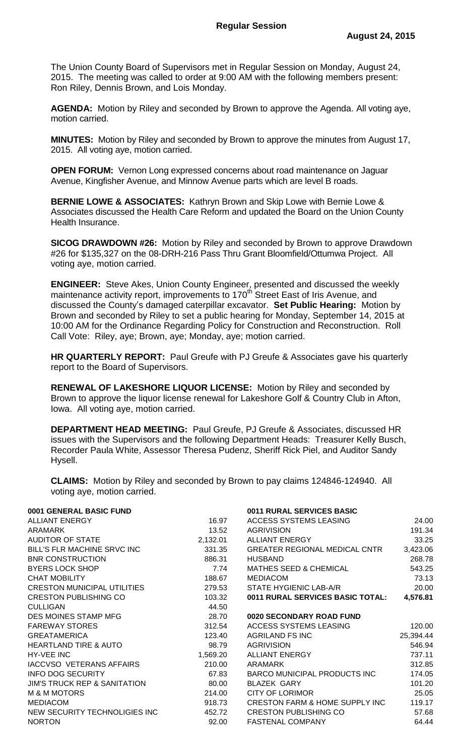The Union County Board of Supervisors met in Regular Session on Monday, August 24, 2015. The meeting was called to order at 9:00 AM with the following members present: Ron Riley, Dennis Brown, and Lois Monday.

**AGENDA:** Motion by Riley and seconded by Brown to approve the Agenda. All voting aye, motion carried.

**MINUTES:** Motion by Riley and seconded by Brown to approve the minutes from August 17, 2015. All voting aye, motion carried.

**OPEN FORUM:** Vernon Long expressed concerns about road maintenance on Jaguar Avenue, Kingfisher Avenue, and Minnow Avenue parts which are level B roads.

**BERNIE LOWE & ASSOCIATES:** Kathryn Brown and Skip Lowe with Bernie Lowe & Associates discussed the Health Care Reform and updated the Board on the Union County Health Insurance.

**SICOG DRAWDOWN #26:** Motion by Riley and seconded by Brown to approve Drawdown #26 for \$135,327 on the 08-DRH-216 Pass Thru Grant Bloomfield/Ottumwa Project. All voting aye, motion carried.

**ENGINEER:** Steve Akes, Union County Engineer, presented and discussed the weekly maintenance activity report, improvements to 170<sup>th</sup> Street East of Iris Avenue, and discussed the County's damaged caterpillar excavator. **Set Public Hearing:** Motion by Brown and seconded by Riley to set a public hearing for Monday, September 14, 2015 at 10:00 AM for the Ordinance Regarding Policy for Construction and Reconstruction. Roll Call Vote: Riley, aye; Brown, aye; Monday, aye; motion carried.

**HR QUARTERLY REPORT:** Paul Greufe with PJ Greufe & Associates gave his quarterly report to the Board of Supervisors.

**RENEWAL OF LAKESHORE LIQUOR LICENSE:** Motion by Riley and seconded by Brown to approve the liquor license renewal for Lakeshore Golf & Country Club in Afton, Iowa. All voting aye, motion carried.

**DEPARTMENT HEAD MEETING:** Paul Greufe, PJ Greufe & Associates, discussed HR issues with the Supervisors and the following Department Heads: Treasurer Kelly Busch, Recorder Paula White, Assessor Theresa Pudenz, Sheriff Rick Piel, and Auditor Sandy Hysell.

**CLAIMS:** Motion by Riley and seconded by Brown to pay claims 124846-124940. All voting aye, motion carried.

| 0001 GENERAL BASIC FUND                 |          | 0011 RURAL SERVICES BASIC                 |           |
|-----------------------------------------|----------|-------------------------------------------|-----------|
| <b>ALLIANT ENERGY</b>                   | 16.97    | <b>ACCESS SYSTEMS LEASING</b>             | 24.00     |
| <b>ARAMARK</b>                          | 13.52    | <b>AGRIVISION</b>                         | 191.34    |
| <b>AUDITOR OF STATE</b>                 | 2,132.01 | <b>ALLIANT ENERGY</b>                     | 33.25     |
| BILL'S FLR MACHINE SRVC INC             | 331.35   | GREATER REGIONAL MEDICAL CNTR             | 3,423.06  |
| <b>BNR CONSTRUCTION</b>                 | 886.31   | <b>HUSBAND</b>                            | 268.78    |
| <b>BYERS LOCK SHOP</b>                  | 7.74     | <b>MATHES SEED &amp; CHEMICAL</b>         | 543.25    |
| <b>CHAT MOBILITY</b>                    | 188.67   | <b>MEDIACOM</b>                           | 73.13     |
| <b>CRESTON MUNICIPAL UTILITIES</b>      | 279.53   | STATE HYGIENIC LAB-A/R                    | 20.00     |
| <b>CRESTON PUBLISHING CO</b>            | 103.32   | <b>0011 RURAL SERVICES BASIC TOTAL:</b>   | 4,576.81  |
| <b>CULLIGAN</b>                         | 44.50    |                                           |           |
| DES MOINES STAMP MFG                    | 28.70    | 0020 SECONDARY ROAD FUND                  |           |
| <b>FAREWAY STORES</b>                   | 312.54   | ACCESS SYSTEMS LEASING                    | 120.00    |
| <b>GREATAMERICA</b>                     | 123.40   | <b>AGRILAND FS INC</b>                    | 25,394.44 |
| <b>HEARTLAND TIRE &amp; AUTO</b>        | 98.79    | <b>AGRIVISION</b>                         | 546.94    |
| HY-VEE INC                              | 1,569.20 | <b>ALLIANT ENERGY</b>                     | 737.11    |
| IACCVSO VETERANS AFFAIRS                | 210.00   | ARAMARK                                   | 312.85    |
| <b>INFO DOG SECURITY</b>                | 67.83    | BARCO MUNICIPAL PRODUCTS INC              | 174.05    |
| <b>JIM'S TRUCK REP &amp; SANITATION</b> | 80.00    | <b>BLAZEK GARY</b>                        | 101.20    |
| <b>M &amp; M MOTORS</b>                 | 214.00   | <b>CITY OF LORIMOR</b>                    | 25.05     |
| <b>MEDIACOM</b>                         | 918.73   | <b>CRESTON FARM &amp; HOME SUPPLY INC</b> | 119.17    |
| NEW SECURITY TECHNOLIGIES INC           | 452.72   | <b>CRESTON PUBLISHING CO</b>              | 57.68     |
| <b>NORTON</b>                           | 92.00    | <b>FASTENAL COMPANY</b>                   | 64.44     |